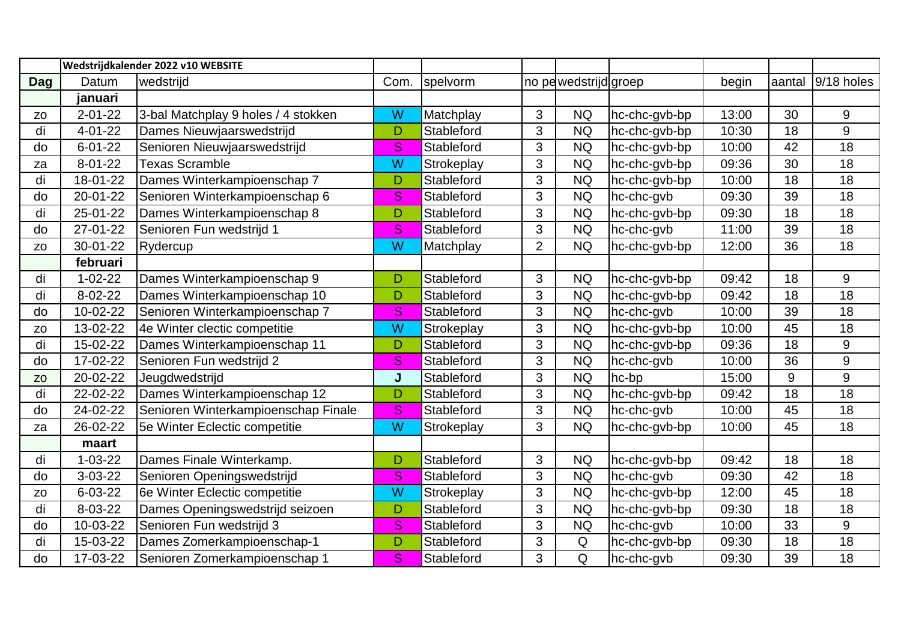|                |               | Wedstrijdkalender 2022 v10 WEBSITE  |      |            |                |                       |                             |       |        |                 |
|----------------|---------------|-------------------------------------|------|------------|----------------|-----------------------|-----------------------------|-------|--------|-----------------|
| <b>Dag</b>     | Datum         | wedstrijd                           | Com. | spelvorm   |                | no pe wedstrijd groep |                             | begin | aantal | 9/18 holes      |
|                | januari       |                                     |      |            |                |                       |                             |       |        |                 |
| Z <sub>O</sub> | $2 - 01 - 22$ | 3-bal Matchplay 9 holes / 4 stokken | W    | Matchplay  | 3              | <b>NQ</b>             | hc-chc-gvb-bp               | 13:00 | 30     | 9               |
| di             | $4 - 01 - 22$ | Dames Nieuwjaarswedstrijd           | D    | Stableford | 3              | <b>NQ</b>             | hc-chc-gvb-bp               | 10:30 | 18     | 9               |
| do             | $6 - 01 - 22$ | Senioren Nieuwjaarswedstrijd        | S    | Stableford | 3              | <b>NQ</b>             | hc-chc-gvb-bp               | 10:00 | 42     | 18              |
| za             | $8 - 01 - 22$ | <b>Texas Scramble</b>               | W    | Strokeplay | 3              | <b>NQ</b>             | hc-chc-gvb-bp               | 09:36 | 30     | $\overline{18}$ |
| di             | 18-01-22      | Dames Winterkampioenschap 7         | D    | Stableford | 3              | <b>NQ</b>             | hc-chc-gvb-bp               | 10:00 | 18     | 18              |
| do             | 20-01-22      | Senioren Winterkampioenschap 6      | S    | Stableford | 3              | <b>NQ</b>             | hc-chc-gvb                  | 09:30 | 39     | 18              |
| di             | 25-01-22      | Dames Winterkampioenschap 8         | D    | Stableford | 3              | <b>NQ</b>             | hc-chc-gvb-bp               | 09:30 | 18     | 18              |
| do             | 27-01-22      | Senioren Fun wedstrijd 1            | S    | Stableford | 3              | <b>NQ</b>             | hc-chc-gvb                  | 11:00 | 39     | 18              |
| Z <sub>O</sub> | 30-01-22      | Rydercup                            | W    | Matchplay  | $\overline{2}$ | <b>NQ</b>             | hc-chc-gvb-bp               | 12:00 | 36     | 18              |
|                | februari      |                                     |      |            |                |                       |                             |       |        |                 |
| di             | $1 - 02 - 22$ | Dames Winterkampioenschap 9         | D    | Stableford | 3              | <b>NQ</b>             | hc-chc-gvb-bp               | 09:42 | 18     | 9               |
| di             | $8 - 02 - 22$ | Dames Winterkampioenschap 10        | D    | Stableford | 3              | <b>NQ</b>             | hc-chc-gvb-bp               | 09:42 | 18     | 18              |
| do             | 10-02-22      | Senioren Winterkampioenschap 7      | S    | Stableford | 3              | <b>NQ</b>             | hc-chc-gvb                  | 10:00 | 39     | 18              |
| Z <sub>O</sub> | 13-02-22      | 4e Winter clectic competitie        | W    | Strokeplay | 3              | <b>NQ</b>             | $\overline{hc}$ -chc-gvb-bp | 10:00 | 45     | 18              |
| di             | 15-02-22      | Dames Winterkampioenschap 11        | D    | Stableford | 3              | <b>NQ</b>             | hc-chc-gvb-bp               | 09:36 | 18     | 9               |
| do             | 17-02-22      | Senioren Fun wedstrijd 2            | S.   | Stableford | 3              | <b>NQ</b>             | hc-chc-gvb                  | 10:00 | 36     | 9               |
| <b>ZO</b>      | 20-02-22      | Jeugdwedstrijd                      | J    | Stableford | 3              | <b>NQ</b>             | hc-bp                       | 15:00 | 9      | 9               |
| di             | 22-02-22      | Dames Winterkampioenschap 12        | D    | Stableford | 3              | <b>NQ</b>             | hc-chc-gvb-bp               | 09:42 | 18     | 18              |
| do             | 24-02-22      | Senioren Winterkampioenschap Finale | S.   | Stableford | 3              | <b>NQ</b>             | hc-chc-gvb                  | 10:00 | 45     | 18              |
| za             | 26-02-22      | 5e Winter Eclectic competitie       | W    | Strokeplay | 3              | <b>NQ</b>             | hc-chc-gvb-bp               | 10:00 | 45     | 18              |
|                | maart         |                                     |      |            |                |                       |                             |       |        |                 |
| di             | $1 - 03 - 22$ | Dames Finale Winterkamp.            | D    | Stableford | 3              | <b>NQ</b>             | hc-chc-gvb-bp               | 09:42 | 18     | 18              |
| do             | $3 - 03 - 22$ | Senioren Openingswedstrijd          | S    | Stableford | 3              | <b>NQ</b>             | hc-chc-gvb                  | 09:30 | 42     | 18              |
| ZO             | $6 - 03 - 22$ | 6e Winter Eclectic competitie       | W    | Strokeplay | 3              | <b>NQ</b>             | hc-chc-gvb-bp               | 12:00 | 45     | 18              |
| di             | 8-03-22       | Dames Openingswedstrijd seizoen     | D    | Stableford | 3              | <b>NQ</b>             | hc-chc-gvb-bp               | 09:30 | 18     | 18              |
| do             | 10-03-22      | Senioren Fun wedstrijd 3            | S    | Stableford | 3              | <b>NQ</b>             | hc-chc-gvb                  | 10:00 | 33     | 9               |
| di             | 15-03-22      | Dames Zomerkampioenschap-1          | D    | Stableford | 3              | Q                     | hc-chc-gvb-bp               | 09:30 | 18     | 18              |
| do             | 17-03-22      | Senioren Zomerkampioenschap 1       | S    | Stableford | 3              | Q                     | hc-chc-gvb                  | 09:30 | 39     | 18              |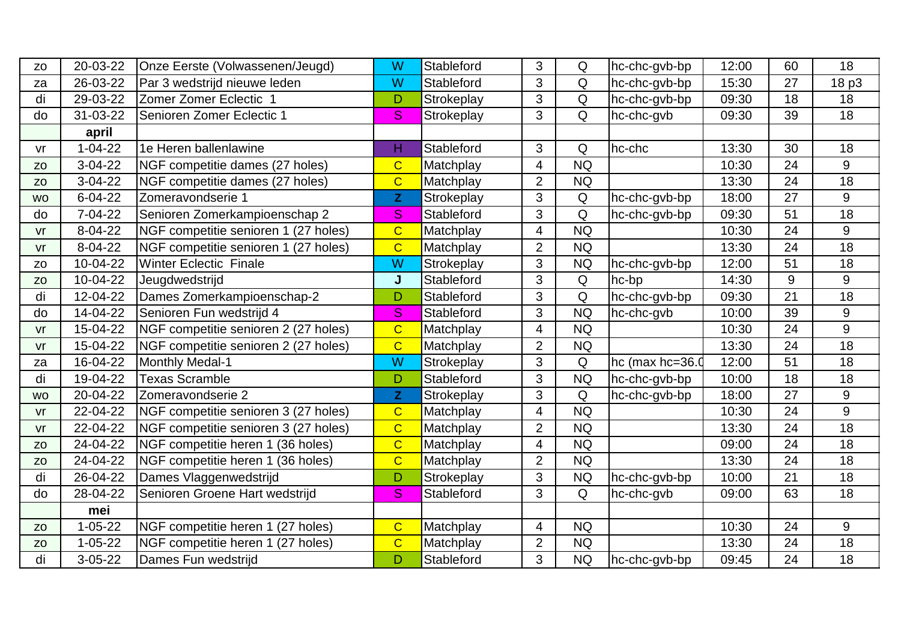| Z <sub>O</sub> | 20-03-22      | Onze Eerste (Volwassenen/Jeugd)      | W              | Stableford | 3              | Q              | hc-chc-gvb-bp   | 12:00 | 60 | 18              |
|----------------|---------------|--------------------------------------|----------------|------------|----------------|----------------|-----------------|-------|----|-----------------|
| za             | 26-03-22      | Par 3 wedstrijd nieuwe leden         | W              | Stableford | 3              | Q              | hc-chc-gvb-bp   | 15:30 | 27 | 18 p3           |
| di             | 29-03-22      | Zomer Zomer Eclectic 1               | D              | Strokeplay | 3 <sup>1</sup> | Q              | hc-chc-gvb-bp   | 09:30 | 18 | 18              |
| do             | 31-03-22      | Senioren Zomer Eclectic 1            | S              | Strokeplay | 3              | Q              | hc-chc-gvb      | 09:30 | 39 | 18              |
|                | april         |                                      |                |            |                |                |                 |       |    |                 |
| vr             | $1 - 04 - 22$ | 1e Heren ballenlawine                | н              | Stableford | 3              | Q              | hc-chc          | 13:30 | 30 | 18              |
| Z <sub>O</sub> | $3-04-22$     | NGF competitie dames (27 holes)      | $\overline{C}$ | Matchplay  | 4              | <b>NQ</b>      |                 | 10:30 | 24 | 9               |
| Z <sub>O</sub> | $3-04-22$     | NGF competitie dames (27 holes)      | $\overline{C}$ | Matchplay  | $\overline{2}$ | <b>NQ</b>      |                 | 13:30 | 24 | 18              |
| <b>WO</b>      | $6 - 04 - 22$ | Zomeravondserie 1                    | $\mathbf{Z}$   | Strokeplay | 3              | Q              | hc-chc-gvb-bp   | 18:00 | 27 | 9               |
| do             | 7-04-22       | Senioren Zomerkampioenschap 2        | S              | Stableford | 3              | $\overline{Q}$ | hc-chc-gvb-bp   | 09:30 | 51 | 18              |
| vr             | 8-04-22       | NGF competitie senioren 1 (27 holes) | $\overline{C}$ | Matchplay  | $\overline{4}$ | <b>NQ</b>      |                 | 10:30 | 24 | 9               |
| V <sub>r</sub> | 8-04-22       | NGF competitie senioren 1 (27 holes) | $\overline{C}$ | Matchplay  | $\overline{2}$ | <b>NQ</b>      |                 | 13:30 | 24 | $\overline{18}$ |
| Z <sub>O</sub> | 10-04-22      | <b>Winter Eclectic Finale</b>        | W              | Strokeplay | $\overline{3}$ | <b>NQ</b>      | hc-chc-gvb-bp   | 12:00 | 51 | 18              |
| Z <sub>O</sub> | 10-04-22      | Jeugdwedstrijd                       | J              | Stableford | 3              | Q              | hc-bp           | 14:30 | 9  | 9               |
| di             | 12-04-22      | Dames Zomerkampioenschap-2           | D              | Stableford | 3              | Q              | hc-chc-gvb-bp   | 09:30 | 21 | 18              |
| do             | 14-04-22      | Senioren Fun wedstrijd 4             | S              | Stableford | 3              | <b>NQ</b>      | hc-chc-gvb      | 10:00 | 39 | 9               |
| vr             | 15-04-22      | NGF competitie senioren 2 (27 holes) | $\overline{C}$ | Matchplay  | 4              | <b>NQ</b>      |                 | 10:30 | 24 | 9               |
| vr             | 15-04-22      | NGF competitie senioren 2 (27 holes) | $\overline{C}$ | Matchplay  | $\overline{2}$ | <b>NQ</b>      |                 | 13:30 | 24 | $\overline{18}$ |
| za             | 16-04-22      | Monthly Medal-1                      | W              | Strokeplay | 3 <sup>1</sup> | Q              | hc (max hc=36.0 | 12:00 | 51 | 18              |
| di             | 19-04-22      | <b>Texas Scramble</b>                | D              | Stableford | 3              | <b>NQ</b>      | hc-chc-gvb-bp   | 10:00 | 18 | 18              |
| <b>WO</b>      | 20-04-22      | Zomeravondserie 2                    | $\mathbf{Z}$   | Strokeplay | 3              | Q              | hc-chc-gvb-bp   | 18:00 | 27 | 9               |
| $V\Gamma$      | 22-04-22      | NGF competitie senioren 3 (27 holes) | $\overline{C}$ | Matchplay  | 4              | <b>NQ</b>      |                 | 10:30 | 24 | 9               |
| vr             | 22-04-22      | NGF competitie senioren 3 (27 holes) | $\overline{C}$ | Matchplay  | $\overline{2}$ | <b>NQ</b>      |                 | 13:30 | 24 | 18              |
| Z <sub>O</sub> | 24-04-22      | NGF competitie heren 1 (36 holes)    | $\overline{C}$ | Matchplay  | 4              | <b>NQ</b>      |                 | 09:00 | 24 | 18              |
| Z <sub>O</sub> | 24-04-22      | NGF competitie heren 1 (36 holes)    | $\overline{C}$ | Matchplay  | $\overline{2}$ | <b>NQ</b>      |                 | 13:30 | 24 | 18              |
| di             | 26-04-22      | Dames Vlaggenwedstrijd               | D              | Strokeplay | 3              | <b>NQ</b>      | hc-chc-gvb-bp   | 10:00 | 21 | 18              |
| do             | 28-04-22      | Senioren Groene Hart wedstrijd       | S              | Stableford | 3              | Q              | hc-chc-gvb      | 09:00 | 63 | 18              |
|                | mei           |                                      |                |            |                |                |                 |       |    |                 |
| <b>ZO</b>      | $1 - 05 - 22$ | NGF competitie heren 1 (27 holes)    | $\overline{C}$ | Matchplay  | 4              | <b>NQ</b>      |                 | 10:30 | 24 | 9               |
| Z <sub>O</sub> | $1 - 05 - 22$ | NGF competitie heren 1 (27 holes)    | $\overline{C}$ | Matchplay  | $\overline{2}$ | <b>NQ</b>      |                 | 13:30 | 24 | 18              |
| di             | $3 - 05 - 22$ | Dames Fun wedstrijd                  | D              | Stableford | 3              | <b>NQ</b>      | hc-chc-gvb-bp   | 09:45 | 24 | 18              |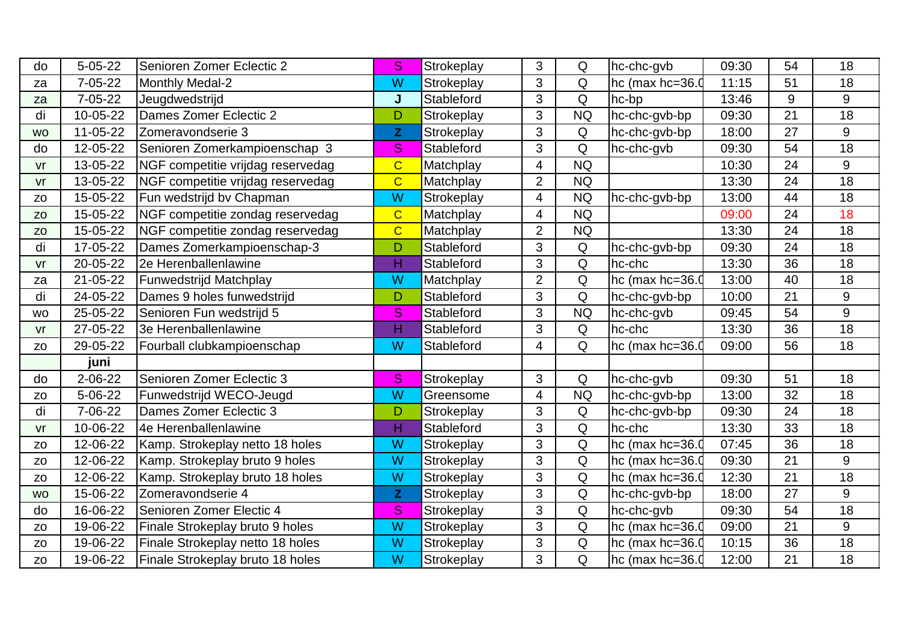| do             | $5 - 05 - 22$ | Senioren Zomer Eclectic 2         | <sub>S</sub>   | Strokeplay        | 3              | Q         | hc-chc-gvb        | 09:30 | 54 | 18              |
|----------------|---------------|-----------------------------------|----------------|-------------------|----------------|-----------|-------------------|-------|----|-----------------|
| za             | $7 - 05 - 22$ | Monthly Medal-2                   | W              | Strokeplay        | 3              | Q         | hc (max $hc=36.0$ | 11:15 | 51 | 18              |
| za             | $7 - 05 - 22$ | Jeugdwedstrijd                    | J              | Stableford        | 3              | Q         | hc-bp             | 13:46 | 9  | 9               |
| di             | 10-05-22      | Dames Zomer Eclectic 2            | D              | Strokeplay        | 3              | <b>NQ</b> | hc-chc-gvb-bp     | 09:30 | 21 | 18              |
| <b>WO</b>      | 11-05-22      | Zomeravondserie 3                 | $\mathbf{Z}$   | Strokeplay        | 3              | Q         | hc-chc-gvb-bp     | 18:00 | 27 | 9               |
| do             | 12-05-22      | Senioren Zomerkampioenschap 3     | S              | Stableford        | 3              | Q         | hc-chc-gvb        | 09:30 | 54 | 18              |
| vr             | 13-05-22      | NGF competitie vrijdag reservedag | $\overline{C}$ | Matchplay         | $\overline{4}$ | <b>NQ</b> |                   | 10:30 | 24 | 9               |
| $V\Gamma$      | 13-05-22      | NGF competitie vrijdag reservedag | $\overline{C}$ | Matchplay         | $\overline{2}$ | <b>NQ</b> |                   | 13:30 | 24 | $\overline{18}$ |
| ZO             | 15-05-22      | Fun wedstrijd by Chapman          | W              | Strokeplay        | $\overline{4}$ | <b>NQ</b> | hc-chc-gvb-bp     | 13:00 | 44 | 18              |
| <b>ZO</b>      | 15-05-22      | NGF competitie zondag reservedag  | $\overline{C}$ | Matchplay         | 4              | <b>NQ</b> |                   | 09:00 | 24 | 18              |
| <b>ZO</b>      | 15-05-22      | NGF competitie zondag reservedag  | $\overline{C}$ | Matchplay         | $\overline{2}$ | <b>NQ</b> |                   | 13:30 | 24 | 18              |
| di             | 17-05-22      | Dames Zomerkampioenschap-3        | D              | Stableford        | 3              | Q         | hc-chc-gvb-bp     | 09:30 | 24 | 18              |
| vr             | 20-05-22      | 2e Herenballenlawine              | H              | <b>Stableford</b> | 3              | Q         | hc-chc            | 13:30 | 36 | 18              |
| za             | 21-05-22      | <b>Funwedstrijd Matchplay</b>     | W              | Matchplay         | $\overline{2}$ | Q         | hc (max $hc=36.0$ | 13:00 | 40 | 18              |
| di             | 24-05-22      | Dames 9 holes funwedstrijd        | D              | Stableford        | 3              | Q         | hc-chc-gvb-bp     | 10:00 | 21 | 9               |
| WO             | 25-05-22      | Senioren Fun wedstrijd 5          | S              | Stableford        | 3              | <b>NQ</b> | hc-chc-gvb        | 09:45 | 54 | 9               |
| vr             | 27-05-22      | 3e Herenballenlawine              | H              | Stableford        | 3              | Q         | hc-chc            | 13:30 | 36 | $\overline{18}$ |
| Z <sub>O</sub> | 29-05-22      | Fourball clubkampioenschap        | W              | Stableford        | 4              | Q         | hc (max $hc=36.0$ | 09:00 | 56 | 18              |
|                | juni          |                                   |                |                   |                |           |                   |       |    |                 |
| do             | $2 - 06 - 22$ | Senioren Zomer Eclectic 3         | S              | Strokeplay        | 3              | Q         | hc-chc-gvb        | 09:30 | 51 | 18              |
| Z <sub>O</sub> | 5-06-22       | Funwedstrijd WECO-Jeugd           | W              | Greensome         | 4              | <b>NQ</b> | hc-chc-gvb-bp     | 13:00 | 32 | 18              |
| di             | 7-06-22       | Dames Zomer Eclectic 3            | D              | Strokeplay        | 3              | Q         | hc-chc-gvb-bp     | 09:30 | 24 | 18              |
| vr             | 10-06-22      | 4e Herenballenlawine              | H              | Stableford        | 3              | Q         | hc-chc            | 13:30 | 33 | 18              |
| Z <sub>O</sub> | 12-06-22      | Kamp. Strokeplay netto 18 holes   | W              | Strokeplay        | $\overline{3}$ | Q         | hc (max hc=36.0   | 07:45 | 36 | 18              |
| Z <sub>O</sub> | 12-06-22      | Kamp. Strokeplay bruto 9 holes    | W              | Strokeplay        | 3              | Q         | hc (max $hc=36.0$ | 09:30 | 21 | 9               |
| ZO             | 12-06-22      | Kamp. Strokeplay bruto 18 holes   | W              | Strokeplay        | 3              | Q         | hc (max hc=36.0   | 12:30 | 21 | 18              |
| <b>WO</b>      | 15-06-22      | Zomeravondserie 4                 | $\mathbf{Z}$   | Strokeplay        | $\overline{3}$ | Q         | hc-chc-gvb-bp     | 18:00 | 27 | 9               |
| do             | 16-06-22      | Senioren Zomer Electic 4          | S              | Strokeplay        | 3              | Q         | hc-chc-gvb        | 09:30 | 54 | 18              |
| Z <sub>O</sub> | 19-06-22      | Finale Strokeplay bruto 9 holes   | W              | Strokeplay        | 3              | Q         | hc (max $hc=36.0$ | 09:00 | 21 | 9               |
| Z <sub>O</sub> | 19-06-22      | Finale Strokeplay netto 18 holes  | W              | Strokeplay        | 3              | Q         | hc (max $hc=36.0$ | 10:15 | 36 | 18              |
| ZO             | 19-06-22      | Finale Strokeplay bruto 18 holes  | W              | Strokeplay        | 3              | Q         | hc (max hc=36.0   | 12:00 | 21 | 18              |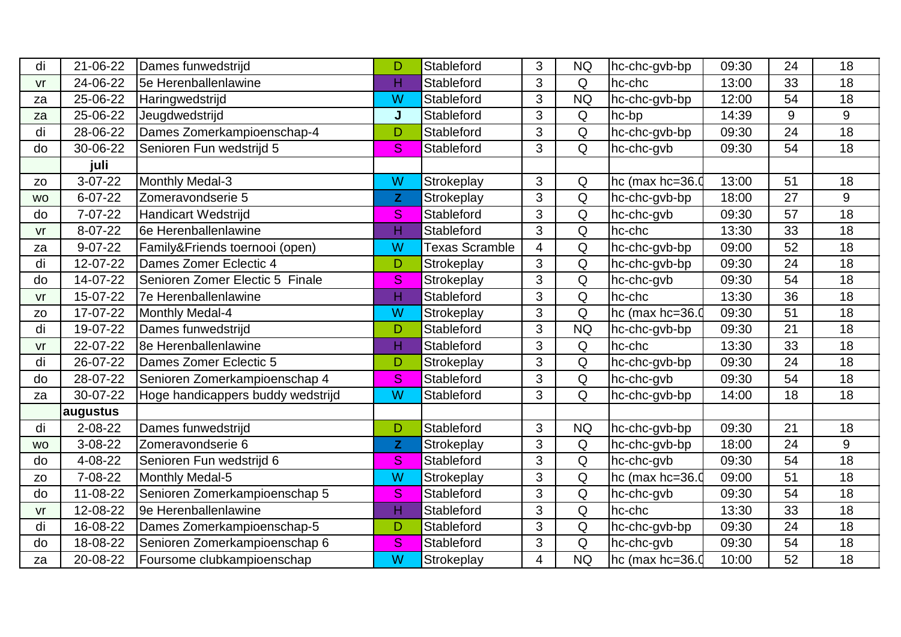| di             | 21-06-22      | Dames funwedstrijd                | D            | Stableford            | 3              | <b>NQ</b> | hc-chc-gvb-bp     | 09:30 | 24 | 18              |
|----------------|---------------|-----------------------------------|--------------|-----------------------|----------------|-----------|-------------------|-------|----|-----------------|
| vr             | 24-06-22      | 5e Herenballenlawine              | H            | Stableford            | 3              | Q         | hc-chc            | 13:00 | 33 | 18              |
| za             | 25-06-22      | Haringwedstrijd                   | W            | Stableford            | 3              | <b>NQ</b> | hc-chc-gvb-bp     | 12:00 | 54 | 18              |
| za             | 25-06-22      | Jeugdwedstrijd                    | J            | Stableford            | 3              | Q         | hc-bp             | 14:39 | 9  | 9               |
| di             | 28-06-22      | Dames Zomerkampioenschap-4        | D            | Stableford            | 3              | Q         | hc-chc-gvb-bp     | 09:30 | 24 | 18              |
| do             | 30-06-22      | Senioren Fun wedstrijd 5          | S            | Stableford            | 3              | Q         | hc-chc-gvb        | 09:30 | 54 | 18              |
|                | juli          |                                   |              |                       |                |           |                   |       |    |                 |
| Z <sub>O</sub> | $3-07-22$     | Monthly Medal-3                   | W            | Strokeplay            | 3              | Q         | hc (max $hc=36.0$ | 13:00 | 51 | 18              |
| <b>WO</b>      | $6 - 07 - 22$ | Zomeravondserie 5                 | $\mathbf{Z}$ | Strokeplay            | 3              | Q         | hc-chc-gvb-bp     | 18:00 | 27 | 9               |
| do             | 7-07-22       | <b>Handicart Wedstrijd</b>        | <sub>S</sub> | Stableford            | 3              | Q         | hc-chc-gvb        | 09:30 | 57 | 18              |
| vr             | 8-07-22       | 6e Herenballenlawine              | H            | Stableford            | 3              | Q         | hc-chc            | 13:30 | 33 | 18              |
| za             | $9 - 07 - 22$ | Family&Friends toernooi (open)    | W            | <b>Texas Scramble</b> | $\overline{4}$ | Q         | hc-chc-gvb-bp     | 09:00 | 52 | 18              |
| di             | 12-07-22      | Dames Zomer Eclectic 4            | D            | Strokeplay            | 3              | Q         | hc-chc-gvb-bp     | 09:30 | 24 | 18              |
| do             | 14-07-22      | Senioren Zomer Electic 5 Finale   | S            | Strokeplay            | 3              | Q         | hc-chc-gvb        | 09:30 | 54 | 18              |
| V <sub>r</sub> | 15-07-22      | 7e Herenballenlawine              | H            | Stableford            | 3              | Q         | hc-chc            | 13:30 | 36 | 18              |
| Z <sub>O</sub> | 17-07-22      | Monthly Medal-4                   | W            | Strokeplay            | 3              | Q         | hc (max hc=36.0   | 09:30 | 51 | 18              |
| di             | 19-07-22      | Dames funwedstrijd                | D            | Stableford            | 3              | <b>NQ</b> | hc-chc-gvb-bp     | 09:30 | 21 | 18              |
| V <sub>r</sub> | 22-07-22      | 8e Herenballenlawine              | H            | Stableford            | 3              | Q         | hc-chc            | 13:30 | 33 | 18              |
| di             | 26-07-22      | Dames Zomer Eclectic 5            | D            | Strokeplay            | $\overline{3}$ | Q         | hc-chc-gvb-bp     | 09:30 | 24 | $\overline{18}$ |
| do             | 28-07-22      | Senioren Zomerkampioenschap 4     | S            | Stableford            | 3              | Q         | hc-chc-gvb        | 09:30 | 54 | 18              |
| za             | 30-07-22      | Hoge handicappers buddy wedstrijd | W            | Stableford            | 3              | Q         | hc-chc-gvb-bp     | 14:00 | 18 | 18              |
|                | augustus      |                                   |              |                       |                |           |                   |       |    |                 |
| di             | $2 - 08 - 22$ | Dames funwedstrijd                | D            | Stableford            | 3              | <b>NQ</b> | hc-chc-gvb-bp     | 09:30 | 21 | 18              |
| <b>WO</b>      | $3 - 08 - 22$ | Zomeravondserie 6                 | $\mathbf{Z}$ | Strokeplay            | 3              | Q         | hc-chc-gvb-bp     | 18:00 | 24 | 9               |
| do             | 4-08-22       | Senioren Fun wedstrijd 6          | S            | Stableford            | 3              | Q         | hc-chc-gvb        | 09:30 | 54 | 18              |
| Z <sub>O</sub> | 7-08-22       | Monthly Medal-5                   | W            | Strokeplay            | 3              | Q         | hc (max hc=36.0   | 09:00 | 51 | 18              |
| do             | 11-08-22      | Senioren Zomerkampioenschap 5     | S            | Stableford            | 3              | Q         | hc-chc-gvb        | 09:30 | 54 | 18              |
| vr             | 12-08-22      | 9e Herenballenlawine              | н            | Stableford            | 3              | Q         | hc-chc            | 13:30 | 33 | 18              |
| di             | 16-08-22      | Dames Zomerkampioenschap-5        | D            | Stableford            | 3              | Q         | hc-chc-gvb-bp     | 09:30 | 24 | 18              |
| do             | 18-08-22      | Senioren Zomerkampioenschap 6     | S            | Stableford            | 3              | Q         | hc-chc-gvb        | 09:30 | 54 | 18              |
| za             | 20-08-22      | Foursome clubkampioenschap        | W            | Strokeplay            | 4              | <b>NQ</b> | hc (max $hc=36.0$ | 10:00 | 52 | 18              |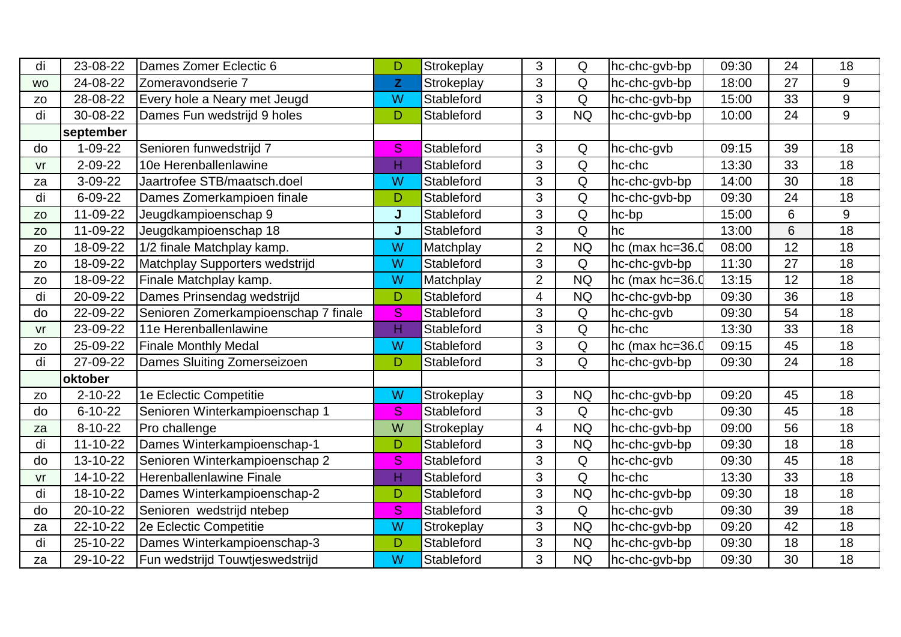| di             | 23-08-22       | Dames Zomer Eclectic 6               | D            | Strokeplay        | 3              | Q           | hc-chc-gvb-bp   | 09:30 | 24 | 18              |
|----------------|----------------|--------------------------------------|--------------|-------------------|----------------|-------------|-----------------|-------|----|-----------------|
| <b>WO</b>      | 24-08-22       | Zomeravondserie 7                    | $\mathsf{Z}$ | Strokeplay        | 3              | Q           | hc-chc-gvb-bp   | 18:00 | 27 | 9               |
| Z <sub>O</sub> | 28-08-22       | Every hole a Neary met Jeugd         | W            | Stableford        | 3              | Q           | hc-chc-gvb-bp   | 15:00 | 33 | $9\,$           |
| di             | 30-08-22       | Dames Fun wedstrijd 9 holes          | D            | Stableford        | 3              | <b>NQ</b>   | hc-chc-gvb-bp   | 10:00 | 24 | 9               |
|                | september      |                                      |              |                   |                |             |                 |       |    |                 |
| do             | $1 - 09 - 22$  | Senioren funwedstrijd 7              | S            | Stableford        | 3              | Q           | hc-chc-gvb      | 09:15 | 39 | 18              |
| vr             | $2 - 09 - 22$  | 10e Herenballenlawine                | Н            | Stableford        | 3              | Q           | hc-chc          | 13:30 | 33 | 18              |
| za             | 3-09-22        | Jaartrofee STB/maatsch.doel          | W            | Stableford        | 3              | Q           | hc-chc-gvb-bp   | 14:00 | 30 | 18              |
| di             | 6-09-22        | Dames Zomerkampioen finale           | D            | Stableford        | 3              | Q           | hc-chc-gvb-bp   | 09:30 | 24 | 18              |
| <b>ZO</b>      | 11-09-22       | Jeugdkampioenschap 9                 | J            | Stableford        | 3              | Q           | hc-bp           | 15:00 | 6  | 9               |
| Z <sub>O</sub> | 11-09-22       | Jeugdkampioenschap 18                |              | Stableford        | 3              | Q           | hc              | 13:00 | 6  | 18              |
| Z <sub>O</sub> | 18-09-22       | 1/2 finale Matchplay kamp.           | W            | Matchplay         | $\overline{2}$ | <b>NQ</b>   | hc (max hc=36.  | 08:00 | 12 | 18              |
| Z <sub>O</sub> | 18-09-22       | Matchplay Supporters wedstrijd       | W            | Stableford        | 3              | Q           | hc-chc-gvb-bp   | 11:30 | 27 | 18              |
| Z <sub>O</sub> | 18-09-22       | Finale Matchplay kamp.               | W            | Matchplay         | $\overline{2}$ | <b>NQ</b>   | hc (max hc=36.0 | 13:15 | 12 | 18              |
| di             | 20-09-22       | Dames Prinsendag wedstrijd           | D            | Stableford        | 4              | <b>NQ</b>   | hc-chc-gvb-bp   | 09:30 | 36 | 18              |
| do             | 22-09-22       | Senioren Zomerkampioenschap 7 finale | S            | <b>Stableford</b> | 3              | Q           | hc-chc-gvb      | 09:30 | 54 | 18              |
| V <sub>r</sub> | 23-09-22       | 11e Herenballenlawine                | H            | Stableford        | 3              | Q           | hc-chc          | 13:30 | 33 | 18              |
| Z <sub>O</sub> | 25-09-22       | <b>Finale Monthly Medal</b>          | W            | Stableford        | 3              | Q           | hc (max hc=36.0 | 09:15 | 45 | 18              |
| di             | 27-09-22       | Dames Sluiting Zomerseizoen          | D            | Stableford        | 3              | Q           | hc-chc-gvb-bp   | 09:30 | 24 | 18              |
|                | oktober        |                                      |              |                   |                |             |                 |       |    |                 |
| Z <sub>O</sub> | $2 - 10 - 22$  | 1e Eclectic Competitie               | W            | Strokeplay        | 3              | <b>NQ</b>   | hc-chc-gvb-bp   | 09:20 | 45 | 18              |
| do             | $6 - 10 - 22$  | Senioren Winterkampioenschap 1       | <sub>S</sub> | Stableford        | 3              | $\mathsf Q$ | hc-chc-gvb      | 09:30 | 45 | 18              |
| za             | $8 - 10 - 22$  | Pro challenge                        | W            | Strokeplay        | 4              | <b>NQ</b>   | hc-chc-gvb-bp   | 09:00 | 56 | 18              |
| di             | $11 - 10 - 22$ | Dames Winterkampioenschap-1          | D            | Stableford        | 3              | <b>NQ</b>   | hc-chc-gvb-bp   | 09:30 | 18 | 18              |
| do             | 13-10-22       | Senioren Winterkampioenschap 2       | S            | Stableford        | 3              | Q           | hc-chc-gvb      | 09:30 | 45 | $\overline{18}$ |
| vr             | 14-10-22       | Herenballenlawine Finale             | H            | Stableford        | 3              | Q           | hc-chc          | 13:30 | 33 | 18              |
| di             | 18-10-22       | Dames Winterkampioenschap-2          | D            | Stableford        | 3              | <b>NQ</b>   | hc-chc-gvb-bp   | 09:30 | 18 | 18              |
| do             | 20-10-22       | Senioren wedstrijd ntebep            | S            | Stableford        | 3              | $\mathsf Q$ | hc-chc-gvb      | 09:30 | 39 | 18              |
| za             | 22-10-22       | 2e Eclectic Competitie               | W            | Strokeplay        | 3              | <b>NQ</b>   | hc-chc-gvb-bp   | 09:20 | 42 | 18              |
| di             | 25-10-22       | Dames Winterkampioenschap-3          | D            | Stableford        | 3              | <b>NQ</b>   | hc-chc-gvb-bp   | 09:30 | 18 | 18              |
| za             | 29-10-22       | Fun wedstrijd Touwtjeswedstrijd      | W            | Stableford        | $\overline{3}$ | <b>NQ</b>   | hc-chc-gvb-bp   | 09:30 | 30 | $\overline{18}$ |